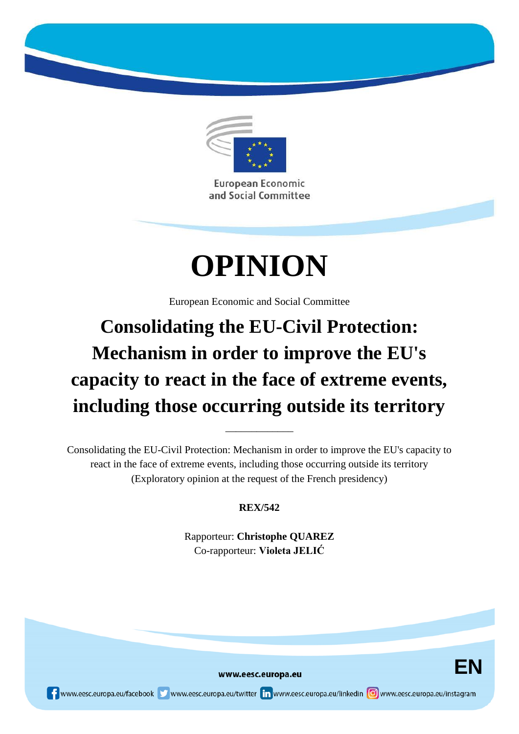

and Social Committee

# **OPINION**

European Economic and Social Committee

## **Consolidating the EU-Civil Protection: Mechanism in order to improve the EU's capacity to react in the face of extreme events, including those occurring outside its territory**

Consolidating the EU-Civil Protection: Mechanism in order to improve the EU's capacity to react in the face of extreme events, including those occurring outside its territory (Exploratory opinion at the request of the French presidency)

\_\_\_\_\_\_\_\_\_\_\_\_\_

### **REX/542**

Rapporteur: **Christophe QUAREZ** Co-rapporteur: **Violeta JELIĆ**

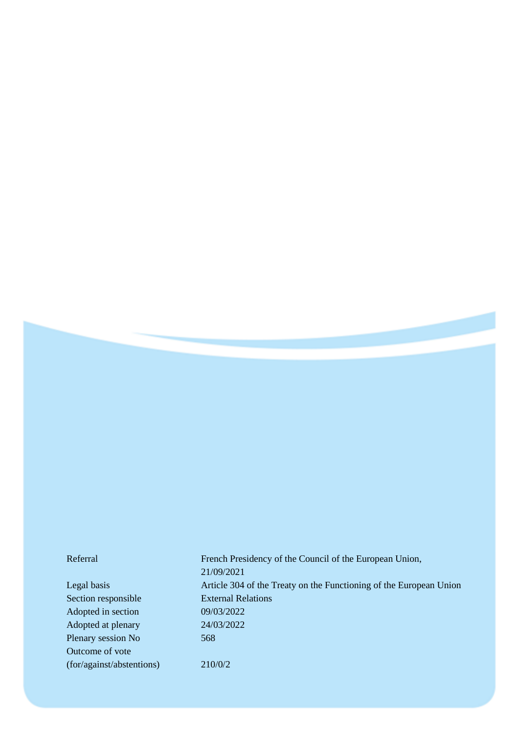Section responsible External Relations Adopted in section 09/03/2022 Adopted at plenary 24/03/2022 Plenary session No 568 Outcome of vote (for/against/abstentions) 210/0/2

Referral French Presidency of the Council of the European Union, 21/09/2021 Legal basis Article 304 of the Treaty on the Functioning of the European Union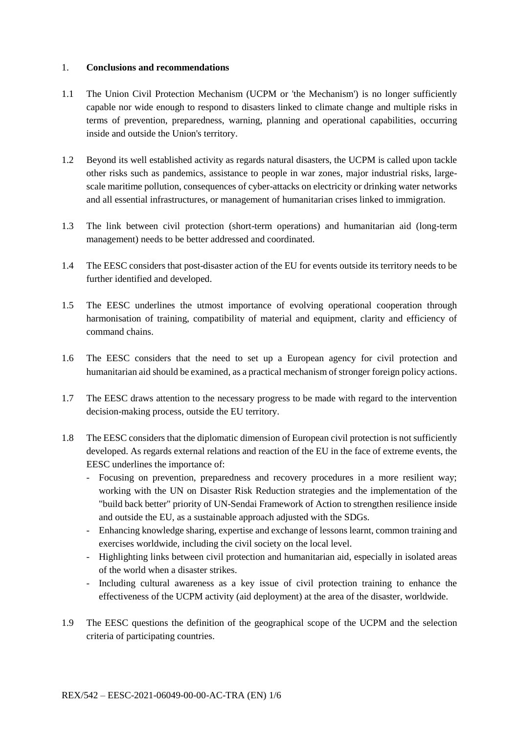#### 1. **Conclusions and recommendations**

- 1.1 The Union Civil Protection Mechanism (UCPM or 'the Mechanism') is no longer sufficiently capable nor wide enough to respond to disasters linked to climate change and multiple risks in terms of prevention, preparedness, warning, planning and operational capabilities, occurring inside and outside the Union's territory.
- 1.2 Beyond its well established activity as regards natural disasters, the UCPM is called upon tackle other risks such as pandemics, assistance to people in war zones, major industrial risks, largescale maritime pollution, consequences of cyber-attacks on electricity or drinking water networks and all essential infrastructures, or management of humanitarian crises linked to immigration.
- 1.3 The link between civil protection (short-term operations) and humanitarian aid (long-term management) needs to be better addressed and coordinated.
- 1.4 The EESC considers that post-disaster action of the EU for events outside its territory needs to be further identified and developed.
- 1.5 The EESC underlines the utmost importance of evolving operational cooperation through harmonisation of training, compatibility of material and equipment, clarity and efficiency of command chains.
- 1.6 The EESC considers that the need to set up a European agency for civil protection and humanitarian aid should be examined, as a practical mechanism of stronger foreign policy actions.
- 1.7 The EESC draws attention to the necessary progress to be made with regard to the intervention decision-making process, outside the EU territory.
- 1.8 The EESC considers that the diplomatic dimension of European civil protection is not sufficiently developed. As regards external relations and reaction of the EU in the face of extreme events, the EESC underlines the importance of:
	- Focusing on prevention, preparedness and recovery procedures in a more resilient way; working with the UN on Disaster Risk Reduction strategies and the implementation of the "build back better" priority of UN-Sendai Framework of Action to strengthen resilience inside and outside the EU, as a sustainable approach adjusted with the SDGs.
	- Enhancing knowledge sharing, expertise and exchange of lessons learnt, common training and exercises worldwide, including the civil society on the local level.
	- Highlighting links between civil protection and humanitarian aid, especially in isolated areas of the world when a disaster strikes.
	- Including cultural awareness as a key issue of civil protection training to enhance the effectiveness of the UCPM activity (aid deployment) at the area of the disaster, worldwide.
- 1.9 The EESC questions the definition of the geographical scope of the UCPM and the selection criteria of participating countries.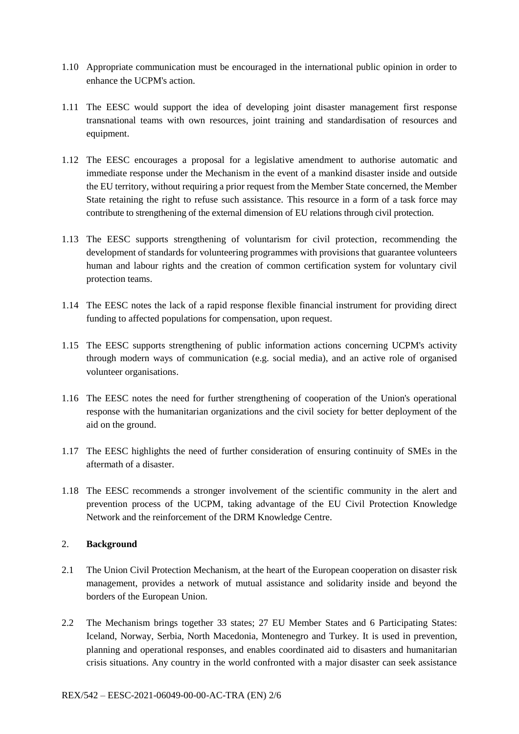- 1.10 Appropriate communication must be encouraged in the international public opinion in order to enhance the UCPM's action.
- 1.11 The EESC would support the idea of developing joint disaster management first response transnational teams with own resources, joint training and standardisation of resources and equipment.
- 1.12 The EESC encourages a proposal for a legislative amendment to authorise automatic and immediate response under the Mechanism in the event of a mankind disaster inside and outside the EU territory, without requiring a prior request from the Member State concerned, the Member State retaining the right to refuse such assistance. This resource in a form of a task force may contribute to strengthening of the external dimension of EU relations through civil protection.
- 1.13 The EESC supports strengthening of voluntarism for civil protection, recommending the development of standards for volunteering programmes with provisions that guarantee volunteers human and labour rights and the creation of common certification system for voluntary civil protection teams.
- 1.14 The EESC notes the lack of a rapid response flexible financial instrument for providing direct funding to affected populations for compensation, upon request.
- 1.15 The EESC supports strengthening of public information actions concerning UCPM's activity through modern ways of communication (e.g. social media), and an active role of organised volunteer organisations.
- 1.16 The EESC notes the need for further strengthening of cooperation of the Union's operational response with the humanitarian organizations and the civil society for better deployment of the aid on the ground.
- 1.17 The EESC highlights the need of further consideration of ensuring continuity of SMEs in the aftermath of a disaster.
- 1.18 The EESC recommends a stronger involvement of the scientific community in the alert and prevention process of the UCPM, taking advantage of the EU Civil Protection Knowledge Network and the reinforcement of the DRM Knowledge Centre.

#### 2. **Background**

- 2.1 The Union Civil Protection Mechanism, at the heart of the European cooperation on disaster risk management, provides a network of mutual assistance and solidarity inside and beyond the borders of the European Union.
- 2.2 The Mechanism brings together 33 states; 27 EU Member States and 6 Participating States: Iceland, Norway, Serbia, North Macedonia, Montenegro and Turkey. It is used in prevention, planning and operational responses, and enables coordinated aid to disasters and humanitarian crisis situations. Any country in the world confronted with a major disaster can seek assistance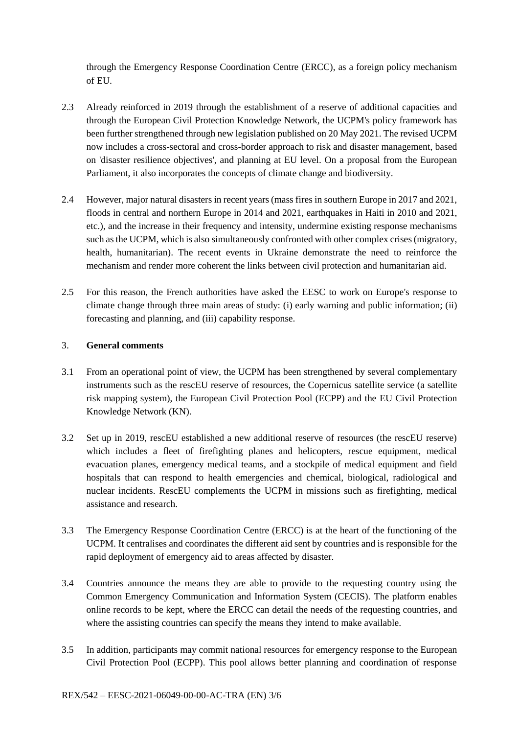through the Emergency Response Coordination Centre (ERCC), as a foreign policy mechanism of EU.

- 2.3 Already reinforced in 2019 through the establishment of a reserve of additional capacities and through the European Civil Protection Knowledge Network, the UCPM's policy framework has been further strengthened through new legislation published on 20 May 2021. The revised UCPM now includes a cross-sectoral and cross-border approach to risk and disaster management, based on 'disaster resilience objectives', and planning at EU level. On a proposal from the European Parliament, it also incorporates the concepts of climate change and biodiversity.
- 2.4 However, major natural disasters in recent years (mass fires in southern Europe in 2017 and 2021, floods in central and northern Europe in 2014 and 2021, earthquakes in Haiti in 2010 and 2021, etc.), and the increase in their frequency and intensity, undermine existing response mechanisms such as the UCPM, which is also simultaneously confronted with other complex crises (migratory, health, humanitarian). The recent events in Ukraine demonstrate the need to reinforce the mechanism and render more coherent the links between civil protection and humanitarian aid.
- 2.5 For this reason, the French authorities have asked the EESC to work on Europe's response to climate change through three main areas of study: (i) early warning and public information; (ii) forecasting and planning, and (iii) capability response.

#### 3. **General comments**

- 3.1 From an operational point of view, the UCPM has been strengthened by several complementary instruments such as the rescEU reserve of resources, the Copernicus satellite service (a satellite risk mapping system), the European Civil Protection Pool (ECPP) and the EU Civil Protection Knowledge Network (KN).
- 3.2 Set up in 2019, rescEU established a new additional reserve of resources (the rescEU reserve) which includes a fleet of firefighting planes and helicopters, rescue equipment, medical evacuation planes, emergency medical teams, and a stockpile of medical equipment and field hospitals that can respond to health emergencies and chemical, biological, radiological and nuclear incidents. RescEU complements the UCPM in missions such as firefighting, medical assistance and research.
- 3.3 The Emergency Response Coordination Centre (ERCC) is at the heart of the functioning of the UCPM. It centralises and coordinates the different aid sent by countries and is responsible for the rapid deployment of emergency aid to areas affected by disaster.
- 3.4 Countries announce the means they are able to provide to the requesting country using the Common Emergency Communication and Information System (CECIS). The platform enables online records to be kept, where the ERCC can detail the needs of the requesting countries, and where the assisting countries can specify the means they intend to make available.
- 3.5 In addition, participants may commit national resources for emergency response to the European Civil Protection Pool (ECPP). This pool allows better planning and coordination of response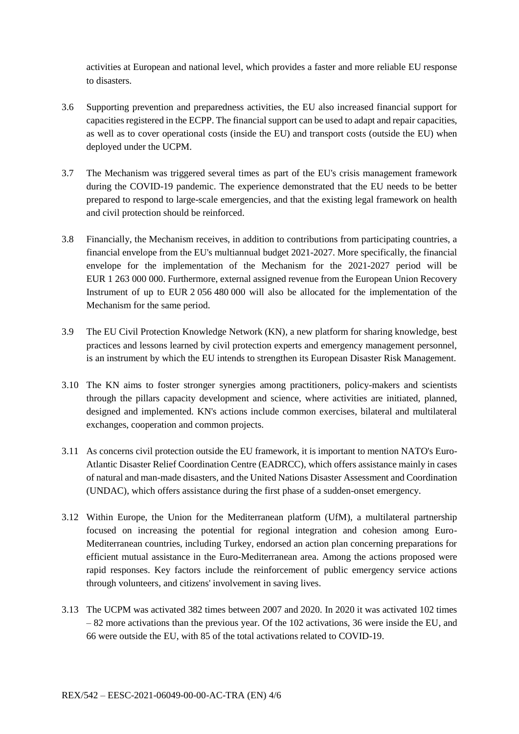activities at European and national level, which provides a faster and more reliable EU response to disasters.

- 3.6 Supporting prevention and preparedness activities, the EU also increased financial support for capacities registered in the ECPP. The financial support can be used to adapt and repair capacities, as well as to cover operational costs (inside the EU) and transport costs (outside the EU) when deployed under the UCPM.
- 3.7 The Mechanism was triggered several times as part of the EU's crisis management framework during the COVID-19 pandemic. The experience demonstrated that the EU needs to be better prepared to respond to large-scale emergencies, and that the existing legal framework on health and civil protection should be reinforced.
- 3.8 Financially, the Mechanism receives, in addition to contributions from participating countries, a financial envelope from the EU's multiannual budget 2021-2027. More specifically, the financial envelope for the implementation of the Mechanism for the 2021-2027 period will be EUR 1 263 000 000. Furthermore, external assigned revenue from the European Union Recovery Instrument of up to EUR 2 056 480 000 will also be allocated for the implementation of the Mechanism for the same period.
- 3.9 The EU Civil Protection Knowledge Network (KN), a new platform for sharing knowledge, best practices and lessons learned by civil protection experts and emergency management personnel, is an instrument by which the EU intends to strengthen its European Disaster Risk Management.
- 3.10 The KN aims to foster stronger synergies among practitioners, policy-makers and scientists through the pillars capacity development and science, where activities are initiated, planned, designed and implemented. KN's actions include common exercises, bilateral and multilateral exchanges, cooperation and common projects.
- 3.11 As concerns civil protection outside the EU framework, it is important to mention NATO's Euro-Atlantic Disaster Relief Coordination Centre (EADRCC), which offers assistance mainly in cases of natural and man-made disasters, and the United Nations Disaster Assessment and Coordination (UNDAC), which offers assistance during the first phase of a sudden-onset emergency.
- 3.12 Within Europe, the Union for the Mediterranean platform (UfM), a multilateral partnership focused on increasing the potential for regional integration and cohesion among Euro-Mediterranean countries, including Turkey, endorsed an action plan concerning preparations for efficient mutual assistance in the Euro-Mediterranean area. Among the actions proposed were rapid responses. Key factors include the reinforcement of public emergency service actions through volunteers, and citizens' involvement in saving lives.
- 3.13 The UCPM was activated 382 times between 2007 and 2020. In 2020 it was activated 102 times – 82 more activations than the previous year. Of the 102 activations, 36 were inside the EU, and 66 were outside the EU, with 85 of the total activations related to COVID-19.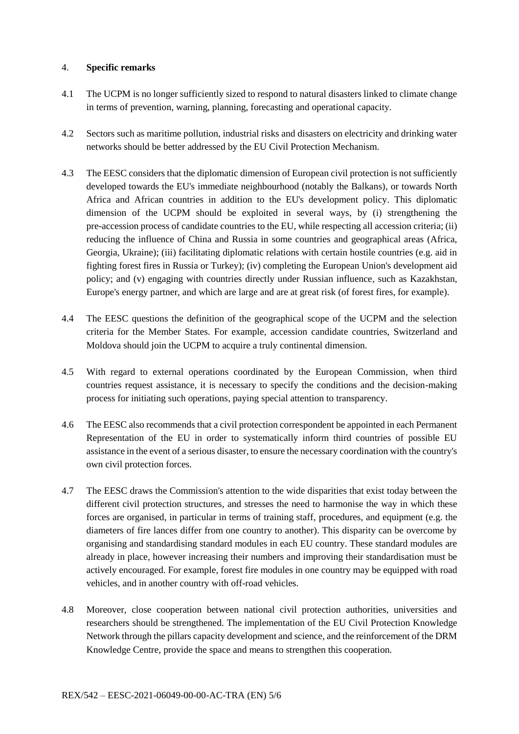#### 4. **Specific remarks**

- 4.1 The UCPM is no longer sufficiently sized to respond to natural disasters linked to climate change in terms of prevention, warning, planning, forecasting and operational capacity.
- 4.2 Sectors such as maritime pollution, industrial risks and disasters on electricity and drinking water networks should be better addressed by the EU Civil Protection Mechanism.
- 4.3 The EESC considers that the diplomatic dimension of European civil protection is not sufficiently developed towards the EU's immediate neighbourhood (notably the Balkans), or towards North Africa and African countries in addition to the EU's development policy. This diplomatic dimension of the UCPM should be exploited in several ways, by (i) strengthening the pre-accession process of candidate countries to the EU, while respecting all accession criteria; (ii) reducing the influence of China and Russia in some countries and geographical areas (Africa, Georgia, Ukraine); (iii) facilitating diplomatic relations with certain hostile countries (e.g. aid in fighting forest fires in Russia or Turkey); (iv) completing the European Union's development aid policy; and (v) engaging with countries directly under Russian influence, such as Kazakhstan, Europe's energy partner, and which are large and are at great risk (of forest fires, for example).
- 4.4 The EESC questions the definition of the geographical scope of the UCPM and the selection criteria for the Member States. For example, accession candidate countries, Switzerland and Moldova should join the UCPM to acquire a truly continental dimension.
- 4.5 With regard to external operations coordinated by the European Commission, when third countries request assistance, it is necessary to specify the conditions and the decision-making process for initiating such operations, paying special attention to transparency.
- 4.6 The EESC also recommends that a civil protection correspondent be appointed in each Permanent Representation of the EU in order to systematically inform third countries of possible EU assistance in the event of a serious disaster, to ensure the necessary coordination with the country's own civil protection forces.
- 4.7 The EESC draws the Commission's attention to the wide disparities that exist today between the different civil protection structures, and stresses the need to harmonise the way in which these forces are organised, in particular in terms of training staff, procedures, and equipment (e.g. the diameters of fire lances differ from one country to another). This disparity can be overcome by organising and standardising standard modules in each EU country. These standard modules are already in place, however increasing their numbers and improving their standardisation must be actively encouraged. For example, forest fire modules in one country may be equipped with road vehicles, and in another country with off-road vehicles.
- 4.8 Moreover, close cooperation between national civil protection authorities, universities and researchers should be strengthened. The implementation of the EU Civil Protection Knowledge Network through the pillars capacity development and science, and the reinforcement of the DRM Knowledge Centre, provide the space and means to strengthen this cooperation.